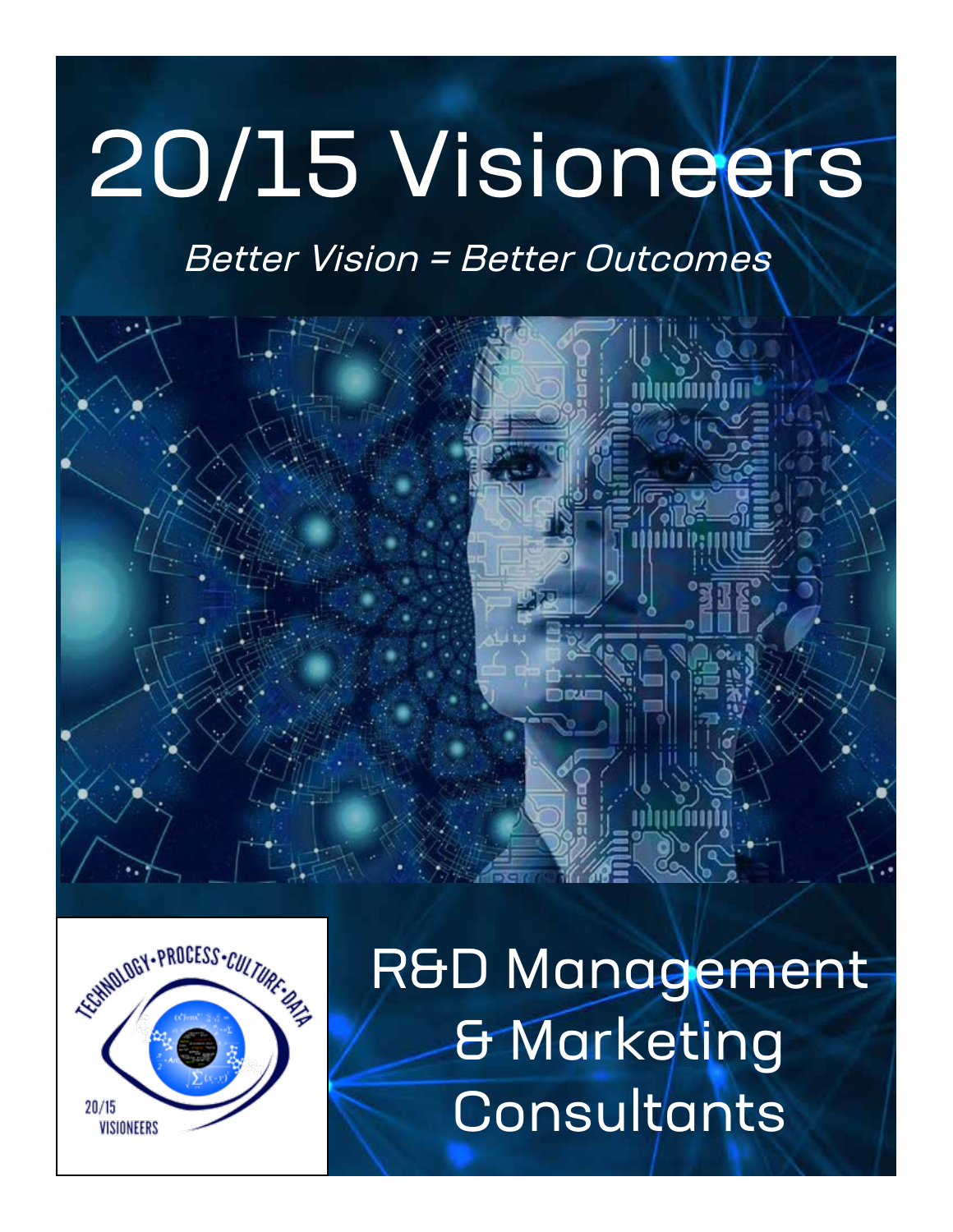# 20/15 Visioneers

### Better Vision = Better Outcomes





R&D Management & Marketing **Consultants**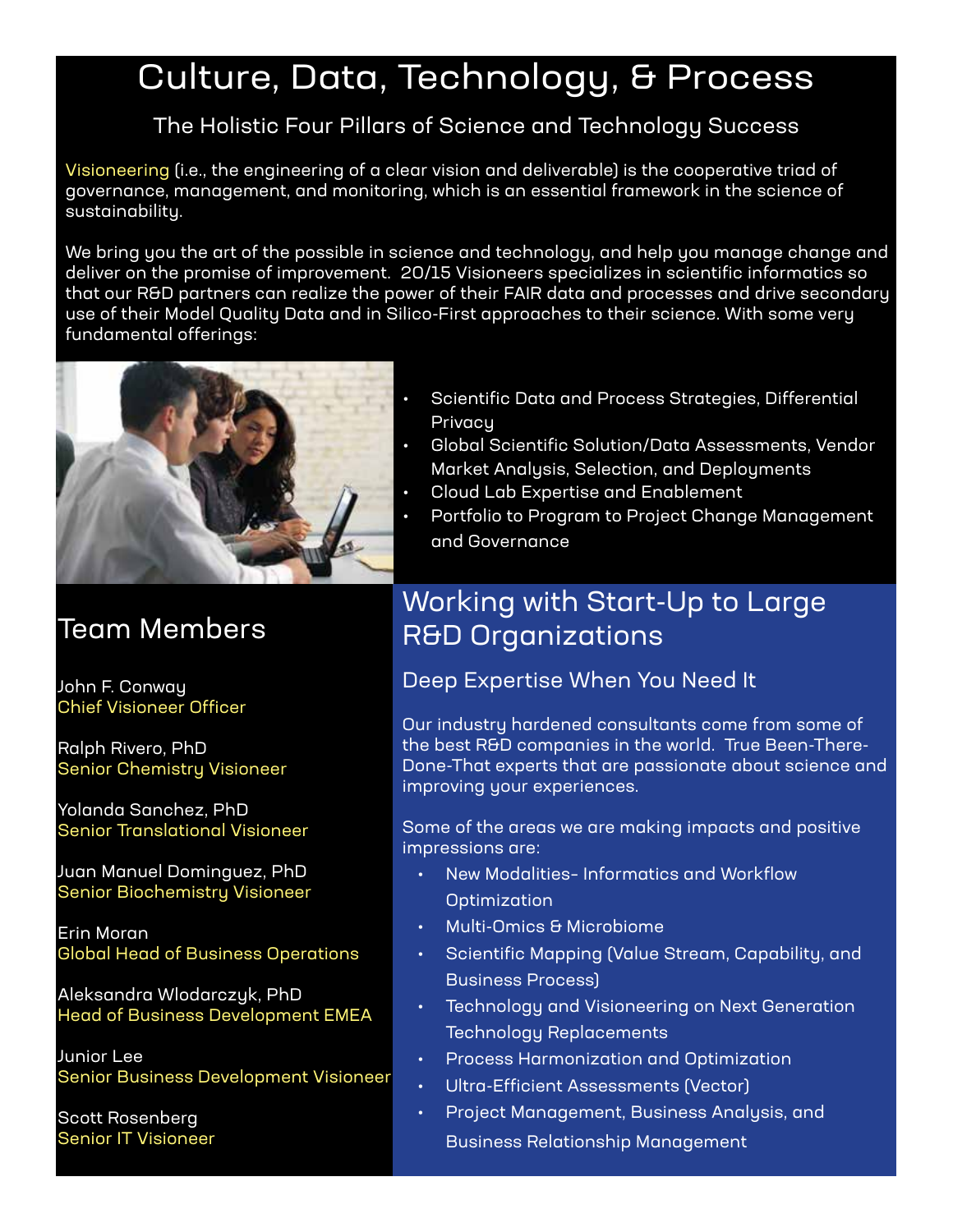# Culture, Data, Technology, & Process

#### The Holistic Four Pillars of Science and Technology Success

Visioneering (i.e., the engineering of a clear vision and deliverable) is the cooperative triad of governance, management, and monitoring, which is an essential framework in the science of sustainability.

We bring you the art of the possible in science and technology, and help you manage change and deliver on the promise of improvement. 20/15 Visioneers specializes in scientific informatics so that our R&D partners can realize the power of their FAIR data and processes and drive secondary use of their Model Quality Data and in Silico-First approaches to their science. With some very fundamental offerings:



#### Team Members

John F. Conway Chief Visioneer Officer

Ralph Rivero, PhD Senior Chemistry Visioneer

Yolanda Sanchez, PhD Senior Translational Visioneer

Juan Manuel Dominguez, PhD Senior Biochemistry Visioneer

Erin Moran Global Head of Business Operations

Aleksandra Wlodarczyk, PhD Head of Business Development EMEA

Junior Lee Senior Business Development Visioneer

Scott Rosenberg Senior IT Visioneer

- Scientific Data and Process Strategies, Differential **Privacu**
- Global Scientific Solution/Data Assessments, Vendor Market Analysis, Selection, and Deployments
- Cloud Lab Expertise and Enablement
- Portfolio to Program to Project Change Management and Governance

#### Working with Start-Up to Large R&D Organizations

Deep Expertise When You Need It

Our industry hardened consultants come from some of the best R&D companies in the world. True Been-There-Done-That experts that are passionate about science and improving your experiences.

Some of the areas we are making impacts and positive impressions are:

- New Modalities– Informatics and Workflow **Optimization**
- Multi-Omics & Microbiome
- Scientific Mapping (Value Stream, Capability, and Business Process)
- Technology and Visioneering on Next Generation Technology Replacements
- Process Harmonization and Optimization
- Ultra-Efficient Assessments (Vector)
- Project Management, Business Analysis, and Business Relationship Management